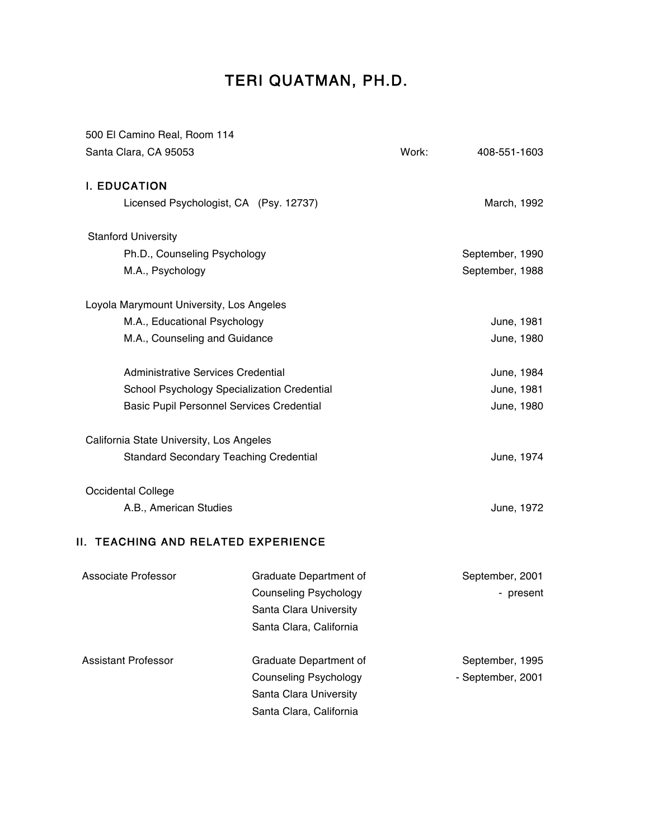# TERI QUATMAN, PH.D.

| 500 El Camino Real, Room 114                     |                                             |       |                   |
|--------------------------------------------------|---------------------------------------------|-------|-------------------|
| Santa Clara, CA 95053                            |                                             | Work: | 408-551-1603      |
| <b>I. EDUCATION</b>                              |                                             |       |                   |
| Licensed Psychologist, CA (Psy. 12737)           |                                             |       | March, 1992       |
| <b>Stanford University</b>                       |                                             |       |                   |
| Ph.D., Counseling Psychology                     |                                             |       | September, 1990   |
| M.A., Psychology                                 |                                             |       | September, 1988   |
| Loyola Marymount University, Los Angeles         |                                             |       |                   |
| M.A., Educational Psychology                     |                                             |       | June, 1981        |
| M.A., Counseling and Guidance                    |                                             |       | June, 1980        |
| Administrative Services Credential               |                                             |       | June, 1984        |
|                                                  | School Psychology Specialization Credential |       | June, 1981        |
| <b>Basic Pupil Personnel Services Credential</b> |                                             |       | June, 1980        |
| California State University, Los Angeles         |                                             |       |                   |
| <b>Standard Secondary Teaching Credential</b>    |                                             |       | June, 1974        |
| <b>Occidental College</b>                        |                                             |       |                   |
| A.B., American Studies                           |                                             |       | June, 1972        |
| II. TEACHING AND RELATED EXPERIENCE              |                                             |       |                   |
| <b>Associate Professor</b>                       | Graduate Department of                      |       | September, 2001   |
|                                                  | <b>Counseling Psychology</b>                |       | - present         |
|                                                  | Santa Clara University                      |       |                   |
|                                                  | Santa Clara, California                     |       |                   |
| <b>Assistant Professor</b>                       | Graduate Department of                      |       | September, 1995   |
|                                                  | <b>Counseling Psychology</b>                |       | - September, 2001 |
|                                                  | Santa Clara University                      |       |                   |
|                                                  | Santa Clara, California                     |       |                   |
|                                                  |                                             |       |                   |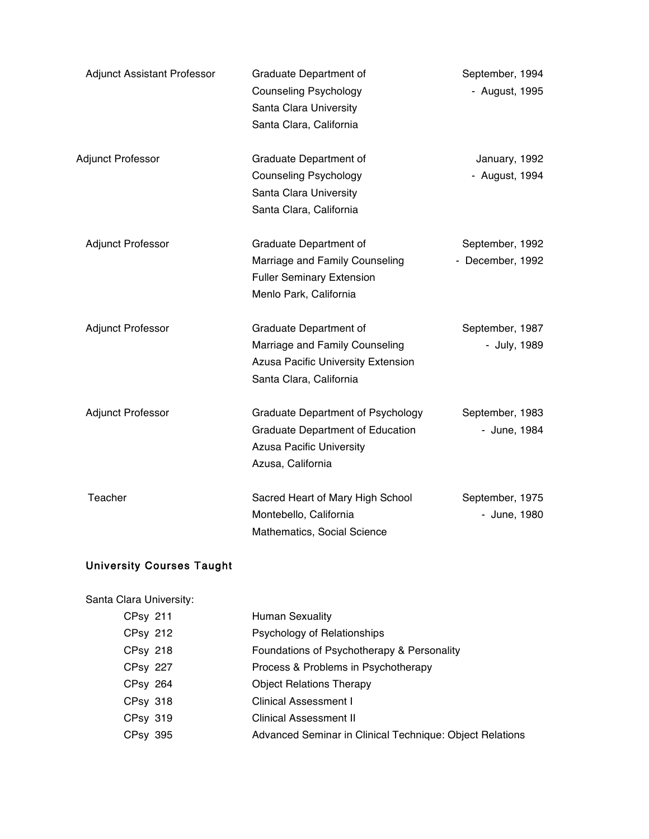| <b>Adjunct Assistant Professor</b> | Graduate Department of<br><b>Counseling Psychology</b><br>Santa Clara University<br>Santa Clara, California                                 | September, 1994<br>- August, 1995   |
|------------------------------------|---------------------------------------------------------------------------------------------------------------------------------------------|-------------------------------------|
| Adjunct Professor                  | Graduate Department of<br><b>Counseling Psychology</b><br>Santa Clara University<br>Santa Clara, California                                 | January, 1992<br>- August, 1994     |
| <b>Adjunct Professor</b>           | Graduate Department of<br>Marriage and Family Counseling<br><b>Fuller Seminary Extension</b><br>Menlo Park, California                      | September, 1992<br>- December, 1992 |
| <b>Adjunct Professor</b>           | Graduate Department of<br>Marriage and Family Counseling<br><b>Azusa Pacific University Extension</b><br>Santa Clara, California            | September, 1987<br>- July, 1989     |
| <b>Adjunct Professor</b>           | <b>Graduate Department of Psychology</b><br><b>Graduate Department of Education</b><br><b>Azusa Pacific University</b><br>Azusa, California | September, 1983<br>- June, 1984     |
| Teacher                            | Sacred Heart of Mary High School<br>Montebello, California<br>Mathematics, Social Science                                                   | September, 1975<br>- June, 1980     |

# University Courses Taught

| Santa Clara University: |                                                          |
|-------------------------|----------------------------------------------------------|
| <b>CPsy 211</b>         | Human Sexuality                                          |
| <b>CPsy 212</b>         | Psychology of Relationships                              |
| <b>CPsy 218</b>         | Foundations of Psychotherapy & Personality               |
| <b>CPsy 227</b>         | Process & Problems in Psychotherapy                      |
| <b>CPsy 264</b>         | <b>Object Relations Therapy</b>                          |
| <b>CPsy 318</b>         | <b>Clinical Assessment I</b>                             |
| CPsy 319                | <b>Clinical Assessment II</b>                            |
| CPsy 395                | Advanced Seminar in Clinical Technique: Object Relations |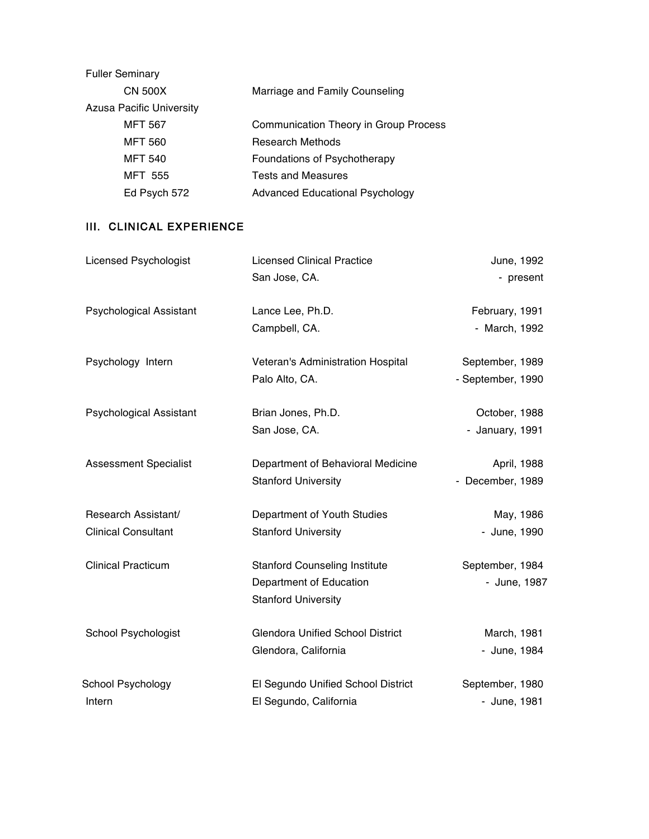| <b>Fuller Seminary</b>          |                                        |
|---------------------------------|----------------------------------------|
| <b>CN 500X</b>                  | Marriage and Family Counseling         |
| <b>Azusa Pacific University</b> |                                        |
| <b>MFT 567</b>                  | Communication Theory in Group Process  |
| <b>MFT 560</b>                  | <b>Research Methods</b>                |
| <b>MFT 540</b>                  | Foundations of Psychotherapy           |
| <b>MFT 555</b>                  | <b>Tests and Measures</b>              |
| Ed Psych 572                    | <b>Advanced Educational Psychology</b> |

# III. CLINICAL EXPERIENCE

| <b>Licensed Psychologist</b>   | <b>Licensed Clinical Practice</b>       | June, 1992        |
|--------------------------------|-----------------------------------------|-------------------|
|                                | San Jose, CA.                           | - present         |
| <b>Psychological Assistant</b> | Lance Lee, Ph.D.                        | February, 1991    |
|                                | Campbell, CA.                           | - March, 1992     |
| Psychology Intern              | Veteran's Administration Hospital       | September, 1989   |
|                                | Palo Alto, CA.                          | - September, 1990 |
| <b>Psychological Assistant</b> | Brian Jones, Ph.D.                      | October, 1988     |
|                                | San Jose, CA.                           | - January, 1991   |
| <b>Assessment Specialist</b>   | Department of Behavioral Medicine       | April, 1988       |
|                                | <b>Stanford University</b>              | - December, 1989  |
| Research Assistant/            | Department of Youth Studies             | May, 1986         |
| <b>Clinical Consultant</b>     | <b>Stanford University</b>              | - June, 1990      |
| <b>Clinical Practicum</b>      | <b>Stanford Counseling Institute</b>    | September, 1984   |
|                                | Department of Education                 | - June, 1987      |
|                                | <b>Stanford University</b>              |                   |
| School Psychologist            | <b>Glendora Unified School District</b> | March, 1981       |
|                                | Glendora, California                    | - June, 1984      |
| School Psychology              | El Segundo Unified School District      | September, 1980   |
| Intern                         | El Segundo, California                  | - June, 1981      |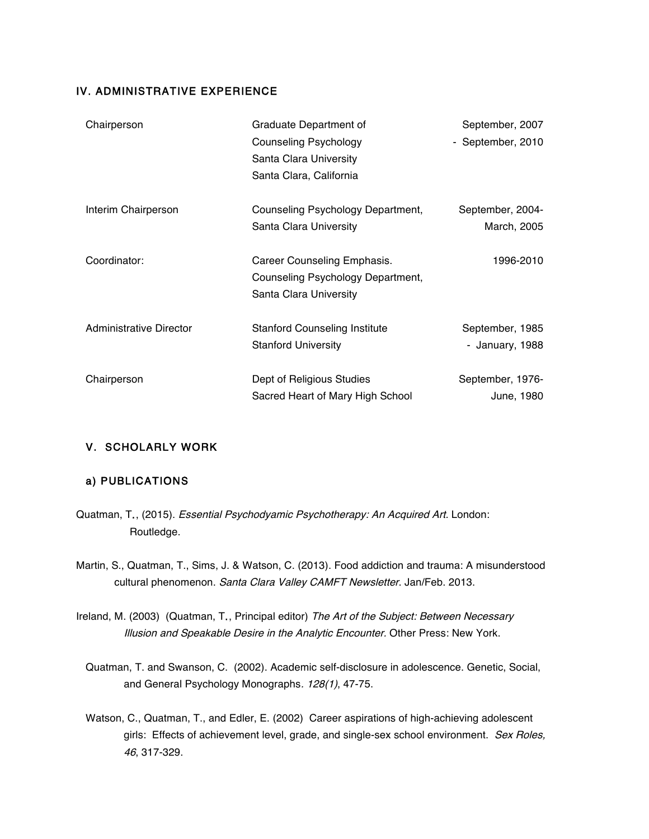#### IV. ADMINISTRATIVE EXPERIENCE

| Chairperson             | Graduate Department of               | September, 2007   |
|-------------------------|--------------------------------------|-------------------|
|                         | <b>Counseling Psychology</b>         | - September, 2010 |
|                         | Santa Clara University               |                   |
|                         | Santa Clara, California              |                   |
| Interim Chairperson     | Counseling Psychology Department,    | September, 2004-  |
|                         | Santa Clara University               | March, 2005       |
| Coordinator:            | Career Counseling Emphasis.          | 1996-2010         |
|                         | Counseling Psychology Department,    |                   |
|                         | Santa Clara University               |                   |
| Administrative Director | <b>Stanford Counseling Institute</b> | September, 1985   |
|                         | <b>Stanford University</b>           | - January, 1988   |
| Chairperson             | Dept of Religious Studies            | September, 1976-  |
|                         | Sacred Heart of Mary High School     | June, 1980        |

### V. SCHOLARLY WORK

#### a) PUBLICATIONS

- Quatman, T., (2015). Essential Psychodyamic Psychotherapy: An Acquired Art. London: Routledge.
- Martin, S., Quatman, T., Sims, J. & Watson, C. (2013). Food addiction and trauma: A misunderstood cultural phenomenon. Santa Clara Valley CAMFT Newsletter. Jan/Feb. 2013.
- Ireland, M. (2003) (Quatman, T., Principal editor) The Art of the Subject: Between Necessary Illusion and Speakable Desire in the Analytic Encounter. Other Press: New York.
	- Quatman, T. and Swanson, C. (2002). Academic self-disclosure in adolescence. Genetic, Social, and General Psychology Monographs. 128(1), 47-75.
	- Watson, C., Quatman, T., and Edler, E. (2002) Career aspirations of high-achieving adolescent girls: Effects of achievement level, grade, and single-sex school environment. Sex Roles, 46, 317-329.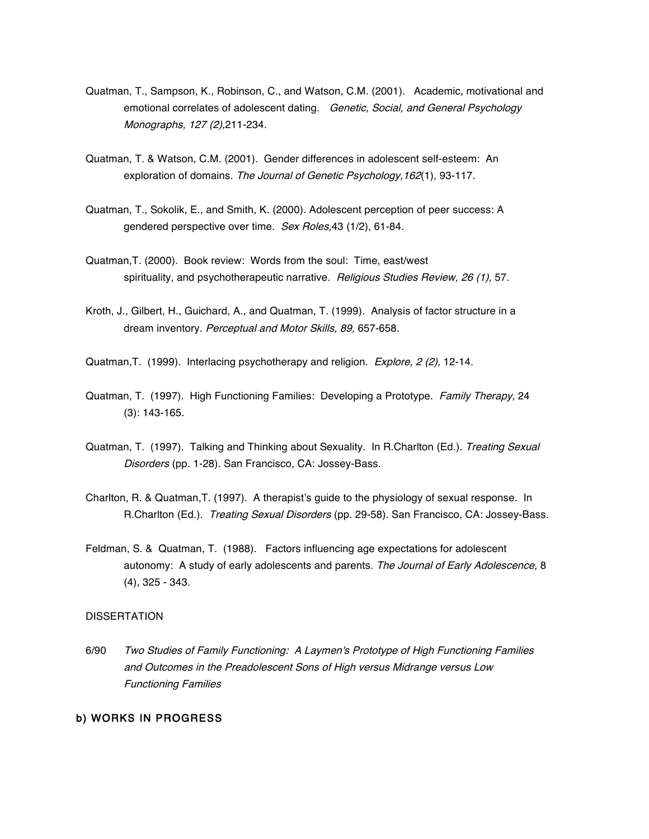- Quatman, T., Sampson, K., Robinson, C., and Watson, C.M. (2001). Academic, motivational and emotional correlates of adolescent dating. Genetic, Social, and General Psychology Monographs, 127 (2),211-234.
- Quatman, T. & Watson, C.M. (2001). Gender differences in adolescent self-esteem: An exploration of domains. The Journal of Genetic Psychology, 162(1), 93-117.
- Quatman, T., Sokolik, E., and Smith, K. (2000). Adolescent perception of peer success: A gendered perspective over time. Sex Roles,43 (1/2), 61-84.
- Quatman,T. (2000). Book review: Words from the soul: Time, east/west spirituality, and psychotherapeutic narrative. Religious Studies Review, 26 (1), 57.
- Kroth, J., Gilbert, H., Guichard, A., and Quatman, T. (1999). Analysis of factor structure in a dream inventory. Perceptual and Motor Skills, 89, 657-658.
- Quatman, T. (1999). Interlacing psychotherapy and religion. Explore, 2 (2), 12-14.
- Quatman, T. (1997). High Functioning Families: Developing a Prototype. Family Therapy, 24 (3): 143-165.
- Quatman, T. (1997). Talking and Thinking about Sexuality. In R.Charlton (Ed.). Treating Sexual Disorders (pp. 1-28). San Francisco, CA: Jossey-Bass.
- Charlton, R. & Quatman,T. (1997). A therapist's guide to the physiology of sexual response. In R.Charlton (Ed.). Treating Sexual Disorders (pp. 29-58). San Francisco, CA: Jossey-Bass.
- Feldman, S. & Quatman, T. (1988). Factors influencing age expectations for adolescent autonomy: A study of early adolescents and parents. The Journal of Early Adolescence, 8 (4), 325 - 343.

#### DISSERTATION

6/90 Two Studies of Family Functioning: A Laymen's Prototype of High Functioning Families and Outcomes in the Preadolescent Sons of High versus Midrange versus Low Functioning Families

#### b) WORKS IN PROGRESS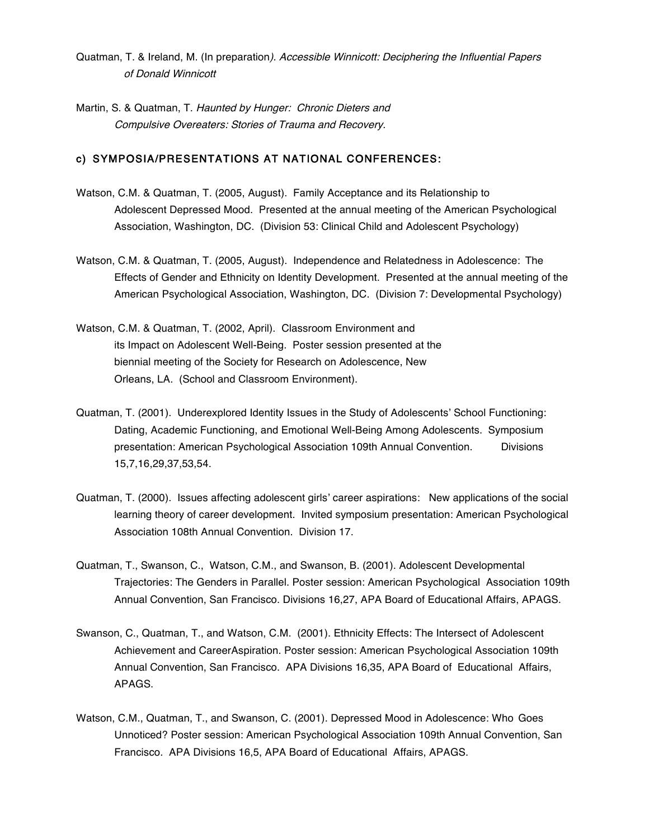- Quatman, T. & Ireland, M. (In preparation). Accessible Winnicott: Deciphering the Influential Papers of Donald Winnicott
- Martin, S. & Quatman, T. Haunted by Hunger: Chronic Dieters and Compulsive Overeaters: Stories of Trauma and Recovery.

#### c) SYMPOSIA/PRESENTATIONS AT NATIONAL CONFERENCES:

- Watson, C.M. & Quatman, T. (2005, August). Family Acceptance and its Relationship to Adolescent Depressed Mood. Presented at the annual meeting of the American Psychological Association, Washington, DC. (Division 53: Clinical Child and Adolescent Psychology)
- Watson, C.M. & Quatman, T. (2005, August). Independence and Relatedness in Adolescence: The Effects of Gender and Ethnicity on Identity Development. Presented at the annual meeting of the American Psychological Association, Washington, DC. (Division 7: Developmental Psychology)
- Watson, C.M. & Quatman, T. (2002, April). Classroom Environment and its Impact on Adolescent Well-Being. Poster session presented at the biennial meeting of the Society for Research on Adolescence, New Orleans, LA. (School and Classroom Environment).
- Quatman, T. (2001). Underexplored Identity Issues in the Study of Adolescents' School Functioning: Dating, Academic Functioning, and Emotional Well-Being Among Adolescents. Symposium presentation: American Psychological Association 109th Annual Convention. Divisions 15,7,16,29,37,53,54.
- Quatman, T. (2000). Issues affecting adolescent girls' career aspirations: New applications of the social learning theory of career development. Invited symposium presentation: American Psychological Association 108th Annual Convention. Division 17.
- Quatman, T., Swanson, C., Watson, C.M., and Swanson, B. (2001). Adolescent Developmental Trajectories: The Genders in Parallel. Poster session: American Psychological Association 109th Annual Convention, San Francisco. Divisions 16,27, APA Board of Educational Affairs, APAGS.
- Swanson, C., Quatman, T., and Watson, C.M. (2001). Ethnicity Effects: The Intersect of Adolescent Achievement and CareerAspiration. Poster session: American Psychological Association 109th Annual Convention, San Francisco. APA Divisions 16,35, APA Board of Educational Affairs, APAGS.
- Watson, C.M., Quatman, T., and Swanson, C. (2001). Depressed Mood in Adolescence: Who Goes Unnoticed? Poster session: American Psychological Association 109th Annual Convention, San Francisco. APA Divisions 16,5, APA Board of Educational Affairs, APAGS.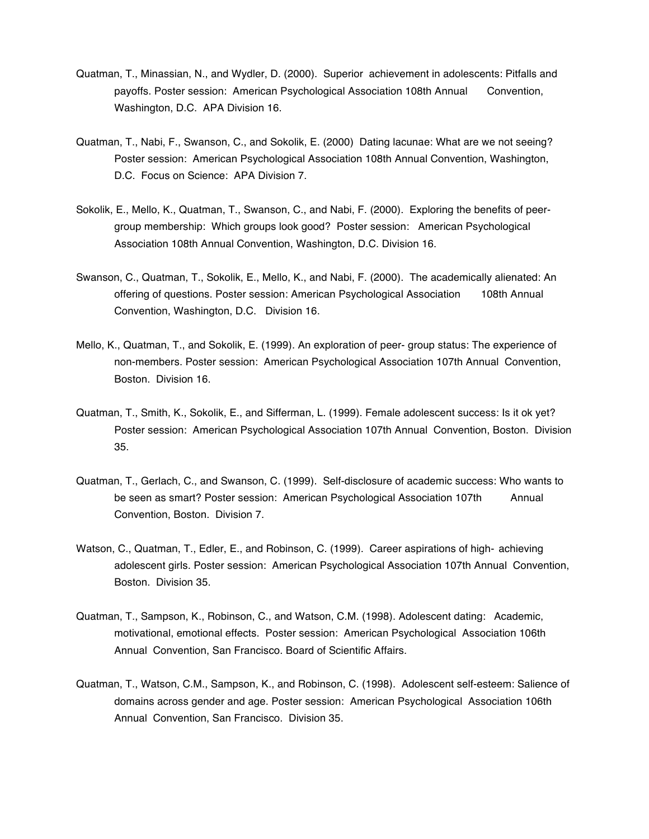- Quatman, T., Minassian, N., and Wydler, D. (2000). Superior achievement in adolescents: Pitfalls and payoffs. Poster session: American Psychological Association 108th Annual Convention, Washington, D.C. APA Division 16.
- Quatman, T., Nabi, F., Swanson, C., and Sokolik, E. (2000) Dating lacunae: What are we not seeing? Poster session: American Psychological Association 108th Annual Convention, Washington, D.C. Focus on Science: APA Division 7.
- Sokolik, E., Mello, K., Quatman, T., Swanson, C., and Nabi, F. (2000). Exploring the benefits of peergroup membership: Which groups look good? Poster session: American Psychological Association 108th Annual Convention, Washington, D.C. Division 16.
- Swanson, C., Quatman, T., Sokolik, E., Mello, K., and Nabi, F. (2000). The academically alienated: An offering of questions. Poster session: American Psychological Association 108th Annual Convention, Washington, D.C. Division 16.
- Mello, K., Quatman, T., and Sokolik, E. (1999). An exploration of peer- group status: The experience of non-members. Poster session: American Psychological Association 107th Annual Convention, Boston. Division 16.
- Quatman, T., Smith, K., Sokolik, E., and Sifferman, L. (1999). Female adolescent success: Is it ok yet? Poster session: American Psychological Association 107th Annual Convention, Boston. Division 35.
- Quatman, T., Gerlach, C., and Swanson, C. (1999). Self-disclosure of academic success: Who wants to be seen as smart? Poster session: American Psychological Association 107th Annual Convention, Boston. Division 7.
- Watson, C., Quatman, T., Edler, E., and Robinson, C. (1999). Career aspirations of high- achieving adolescent girls. Poster session: American Psychological Association 107th Annual Convention, Boston. Division 35.
- Quatman, T., Sampson, K., Robinson, C., and Watson, C.M. (1998). Adolescent dating: Academic, motivational, emotional effects. Poster session: American Psychological Association 106th Annual Convention, San Francisco. Board of Scientific Affairs.
- Quatman, T., Watson, C.M., Sampson, K., and Robinson, C. (1998). Adolescent self-esteem: Salience of domains across gender and age. Poster session: American Psychological Association 106th Annual Convention, San Francisco. Division 35.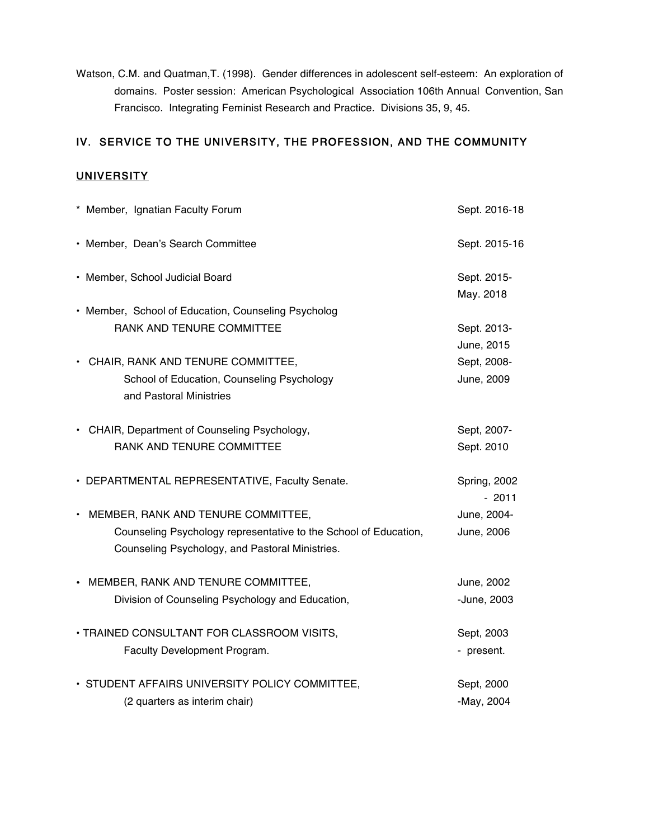Watson, C.M. and Quatman,T. (1998). Gender differences in adolescent self-esteem: An exploration of domains. Poster session: American Psychological Association 106th Annual Convention, San Francisco. Integrating Feminist Research and Practice. Divisions 35, 9, 45.

# IV. SERVICE TO THE UNIVERSITY, THE PROFESSION, AND THE COMMUNITY

# **UNIVERSITY**

| * Member, Ignatian Faculty Forum                                 | Sept. 2016-18                  |
|------------------------------------------------------------------|--------------------------------|
| • Member, Dean's Search Committee                                | Sept. 2015-16                  |
| • Member, School Judicial Board                                  | Sept. 2015-                    |
|                                                                  | May. 2018                      |
| • Member, School of Education, Counseling Psycholog              |                                |
| RANK AND TENURE COMMITTEE                                        | Sept. 2013-                    |
|                                                                  | June, 2015                     |
| • CHAIR, RANK AND TENURE COMMITTEE,                              | Sept, 2008-                    |
| School of Education, Counseling Psychology                       | June, 2009                     |
| and Pastoral Ministries                                          |                                |
| • CHAIR, Department of Counseling Psychology,                    | Sept, 2007-                    |
| RANK AND TENURE COMMITTEE                                        | Sept. 2010                     |
| • DEPARTMENTAL REPRESENTATIVE, Faculty Senate.                   | <b>Spring, 2002</b><br>$-2011$ |
| • MEMBER, RANK AND TENURE COMMITTEE,                             | June, 2004-                    |
| Counseling Psychology representative to the School of Education, | June, 2006                     |
| Counseling Psychology, and Pastoral Ministries.                  |                                |
| • MEMBER, RANK AND TENURE COMMITTEE,                             | June, 2002                     |
| Division of Counseling Psychology and Education,                 | -June, 2003                    |
| · TRAINED CONSULTANT FOR CLASSROOM VISITS,                       | Sept, 2003                     |
| Faculty Development Program.                                     | - present.                     |
| • STUDENT AFFAIRS UNIVERSITY POLICY COMMITTEE,                   | Sept, 2000                     |
| (2 quarters as interim chair)                                    | -May, 2004                     |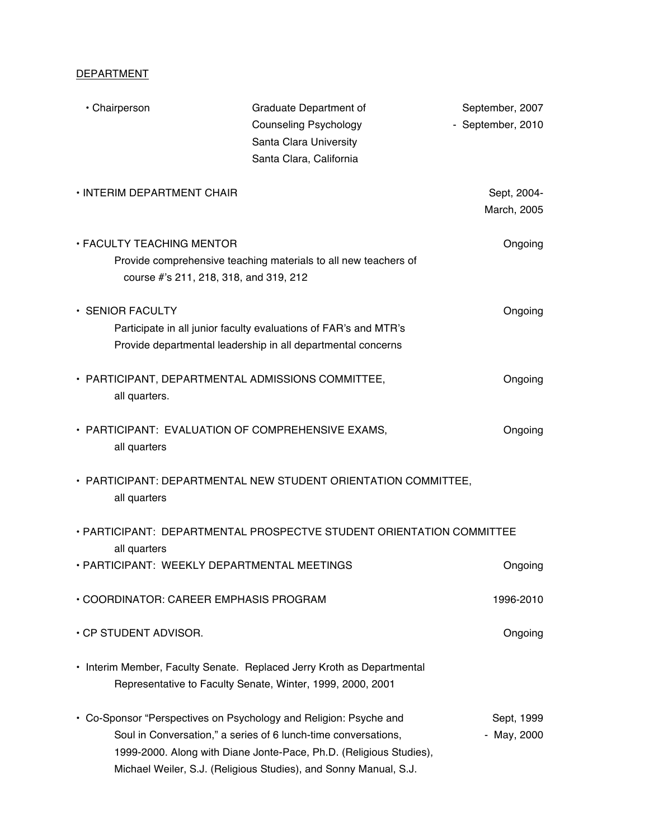# **DEPARTMENT**

| • Chairperson                                                              | Graduate Department of<br><b>Counseling Psychology</b><br>Santa Clara University<br>Santa Clara, California                                                                                                                                                                   | September, 2007<br>- September, 2010 |
|----------------------------------------------------------------------------|-------------------------------------------------------------------------------------------------------------------------------------------------------------------------------------------------------------------------------------------------------------------------------|--------------------------------------|
| • INTERIM DEPARTMENT CHAIR                                                 |                                                                                                                                                                                                                                                                               | Sept, 2004-<br>March, 2005           |
| <b>• FACULTY TEACHING MENTOR</b><br>course #'s 211, 218, 318, and 319, 212 | Provide comprehensive teaching materials to all new teachers of                                                                                                                                                                                                               | Ongoing                              |
| • SENIOR FACULTY                                                           | Participate in all junior faculty evaluations of FAR's and MTR's<br>Provide departmental leadership in all departmental concerns                                                                                                                                              | Ongoing                              |
| • PARTICIPANT, DEPARTMENTAL ADMISSIONS COMMITTEE,<br>all quarters.         |                                                                                                                                                                                                                                                                               | Ongoing                              |
| • PARTICIPANT: EVALUATION OF COMPREHENSIVE EXAMS,<br>all quarters          |                                                                                                                                                                                                                                                                               | Ongoing                              |
| all quarters                                                               | • PARTICIPANT: DEPARTMENTAL NEW STUDENT ORIENTATION COMMITTEE,                                                                                                                                                                                                                |                                      |
| all quarters                                                               | . PARTICIPANT: DEPARTMENTAL PROSPECTVE STUDENT ORIENTATION COMMITTEE                                                                                                                                                                                                          |                                      |
| • PARTICIPANT: WEEKLY DEPARTMENTAL MEETINGS                                |                                                                                                                                                                                                                                                                               | Ongoing                              |
| • COORDINATOR: CAREER EMPHASIS PROGRAM                                     |                                                                                                                                                                                                                                                                               | 1996-2010                            |
| • CP STUDENT ADVISOR.                                                      |                                                                                                                                                                                                                                                                               | Ongoing                              |
|                                                                            | • Interim Member, Faculty Senate. Replaced Jerry Kroth as Departmental<br>Representative to Faculty Senate, Winter, 1999, 2000, 2001                                                                                                                                          |                                      |
|                                                                            | • Co-Sponsor "Perspectives on Psychology and Religion: Psyche and<br>Soul in Conversation," a series of 6 lunch-time conversations,<br>1999-2000. Along with Diane Jonte-Pace, Ph.D. (Religious Studies),<br>Michael Weiler, S.J. (Religious Studies), and Sonny Manual, S.J. | Sept, 1999<br>- May, 2000            |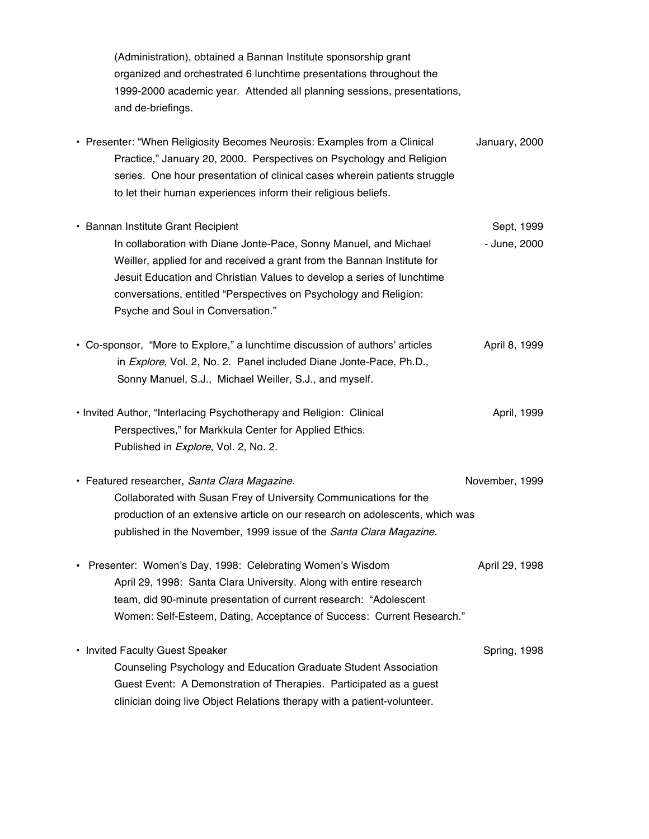(Administration), obtained a Bannan Institute sponsorship grant organized and orchestrated 6 lunchtime presentations throughout the 1999-2000 academic year. Attended all planning sessions, presentations, and de-briefings.

• Presenter: "When Religiosity Becomes Neurosis: Examples from a Clinical January, 2000 Practice," January 20, 2000. Perspectives on Psychology and Religion series. One hour presentation of clinical cases wherein patients struggle to let their human experiences inform their religious beliefs. • Bannan Institute Grant Recipient Sept, 1999 Sept, 1999 In collaboration with Diane Jonte-Pace, Sonny Manuel, and Michael - June, 2000 Weiller, applied for and received a grant from the Bannan Institute for Jesuit Education and Christian Values to develop a series of lunchtime conversations, entitled "Perspectives on Psychology and Religion: Psyche and Soul in Conversation." • Co-sponsor, "More to Explore," a lunchtime discussion of authors' articles April 8, 1999 in Explore, Vol. 2, No. 2. Panel included Diane Jonte-Pace, Ph.D., Sonny Manuel, S.J., Michael Weiller, S.J., and myself. • Invited Author, "Interlacing Psychotherapy and Religion: Clinical April, 1999 Perspectives," for Markkula Center for Applied Ethics. Published in *Explore*, Vol. 2, No. 2. • Featured researcher, Santa Clara Magazine. November, 1999 Collaborated with Susan Frey of University Communications for the production of an extensive article on our research on adolescents, which was published in the November, 1999 issue of the Santa Clara Magazine. • Presenter: Women's Day, 1998: Celebrating Women's Wisdom April 29, 1998 April 29, 1998: Santa Clara University. Along with entire research team, did 90-minute presentation of current research: "Adolescent Women: Self-Esteem, Dating, Acceptance of Success: Current Research." • Invited Faculty Guest Speaker Spring, 1998 Counseling Psychology and Education Graduate Student Association Guest Event: A Demonstration of Therapies. Participated as a guest clinician doing live Object Relations therapy with a patient-volunteer.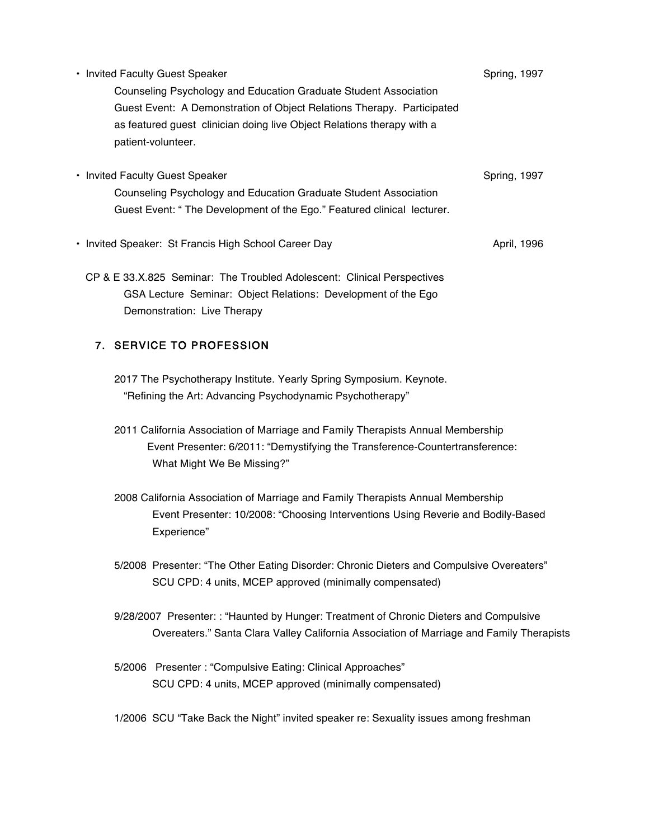| • Invited Faculty Guest Speaker                                        | Spring, 1997 |
|------------------------------------------------------------------------|--------------|
| Counseling Psychology and Education Graduate Student Association       |              |
| Guest Event: A Demonstration of Object Relations Therapy. Participated |              |
| as featured guest clinician doing live Object Relations therapy with a |              |
| patient-volunteer.                                                     |              |
|                                                                        |              |
| • Invited Faculty Guest Speaker                                        | Spring, 1997 |
| Counseling Psychology and Education Graduate Student Association       |              |
| Guest Event: "The Development of the Ego." Featured clinical lecturer. |              |
| • Invited Speaker: St Francis High School Career Day                   | April, 1996  |
|                                                                        |              |

CP & E 33.X.825 Seminar: The Troubled Adolescent: Clinical Perspectives GSA Lecture Seminar: Object Relations: Development of the Ego Demonstration: Live Therapy

# 7. SERVICE TO PROFESSION

- 2017 The Psychotherapy Institute. Yearly Spring Symposium. Keynote. "Refining the Art: Advancing Psychodynamic Psychotherapy"
- 2011 California Association of Marriage and Family Therapists Annual Membership Event Presenter: 6/2011: "Demystifying the Transference-Countertransference: What Might We Be Missing?"
- 2008 California Association of Marriage and Family Therapists Annual Membership Event Presenter: 10/2008: "Choosing Interventions Using Reverie and Bodily-Based Experience"
- 5/2008 Presenter: "The Other Eating Disorder: Chronic Dieters and Compulsive Overeaters" SCU CPD: 4 units, MCEP approved (minimally compensated)
- 9/28/2007 Presenter: : "Haunted by Hunger: Treatment of Chronic Dieters and Compulsive Overeaters." Santa Clara Valley California Association of Marriage and Family Therapists
- 5/2006 Presenter : "Compulsive Eating: Clinical Approaches" SCU CPD: 4 units, MCEP approved (minimally compensated)
- 1/2006 SCU "Take Back the Night" invited speaker re: Sexuality issues among freshman